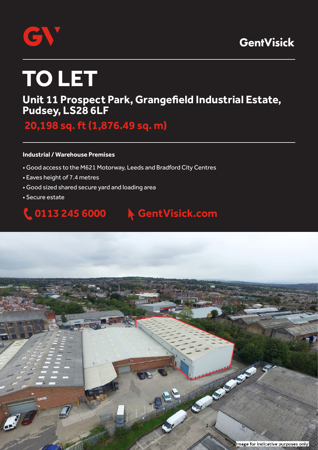



# **TO LET**

### **Unit 11 Prospect Park, Grangefield Industrial Estate, Pudsey, LS28 6LF**

 **20,198 sq. ft (1,876.49 sq. m)**

#### **Industrial / Warehouse Premises**

- Good access to the M621 Motorway, Leeds and Bradford City Centres
- Eaves height of 7.4 metres
- Good sized shared secure yard and loading area
- Secure estate

# **0113 245 6000 GentVisick.com**